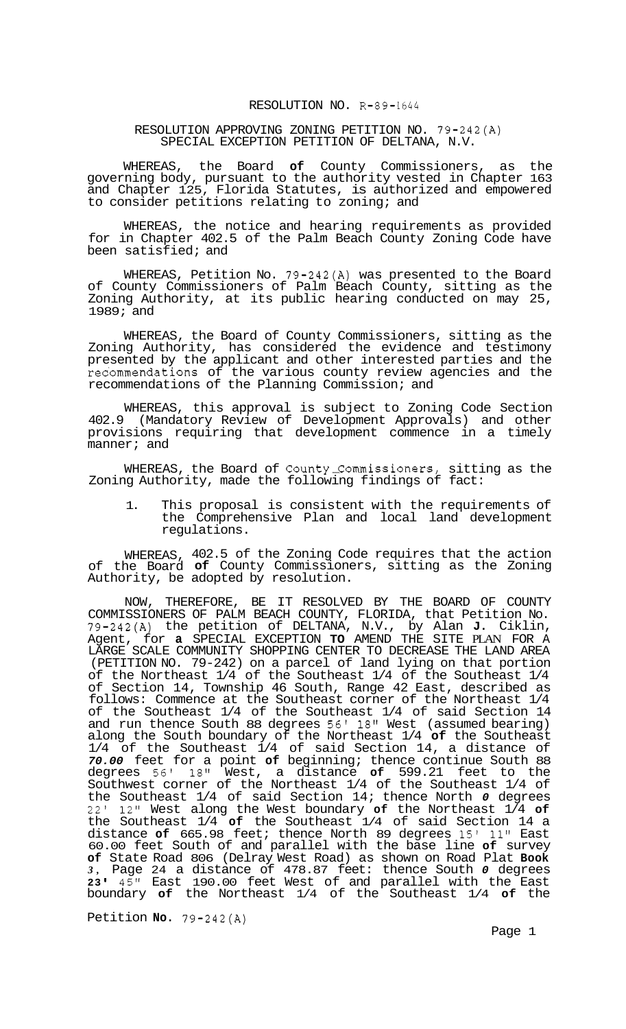## RESOLUTION NO. R-89-1644

## RESOLUTION APPROVING ZONING PETITION NO. 79-242(A) SPECIAL EXCEPTION PETITION OF DELTANA, N.V.

WHEREAS, the Board **of** County Commissioners, as the governing body, pursuant to the authority vested in Chapter 163 and Chapter 125, Florida Statutes, is authorized and empowered to consider petitions relating to zoning; and

WHEREAS, the notice and hearing requirements as provided for in Chapter 402.5 of the Palm Beach County Zoning Code have been satisfied; and

WHEREAS, Petition No. 79-242(A) was presented to the Board of County Commissioners of Palm Beach County, sitting as the Zoning Authority, at its public hearing conducted on may 25, 1989; and

WHEREAS, the Board of County Commissioners, sitting as the Zoning Authority, has considered the evidence and testimony presented by the applicant and other interested parties and the recommendations of the various county review agencies and the recommendations of the Planning Commission; and

WHEREAS, this approval is subject to Zoning Code Section 402.9 (Mandatory Review of Development Approvals) and other provisions requiring that development commence in a timely manner; and

WHEREAS, the Board of County Commissioners, sitting as the Zoning Authority, made the following findings of fact:

1. This proposal is consistent with the requirements of the Comprehensive Plan and local land development regulations.

WHEREAS, 402.5 of the Zoning Code requires that the action of the Board **of** County Commissioners, sitting as the Zoning Authority, be adopted by resolution.

NOW, THEREFORE, BE IT RESOLVED BY THE BOARD OF COUNTY COMMISSIONERS OF PALM BEACH COUNTY, FLORIDA, that Petition No. 79-242(A) the petition of DELTANA, N.V., by Alan **J.** Ciklin, Agent, for **a** SPECIAL EXCEPTION **TO** AMEND THE SITE PLAN FOR A LARGE SCALE COMMUNITY SHOPPING CENTER TO DECREASE THE LAND AREA (PETITION NO. 79-242) on a parcel of land lying on that portion<br>of the Northeast  $1/4$  of the Southeast  $1/4$  of the Southeast  $1/4$ of the Northeast 1/4 of the Southeast 1/4 of the Southeast 1/4 of Section 14, Township 46 South, Range 42 East, described as follows: Commence at the Southeast corner of the Northeast 1/4 of the Southeast 1/4 of the Southeast 1/4 of said Section 14 and run thence South 88 degrees 56' 18" West (assumed bearing) along the South boundary of the Northeast 1/4 **of** the Southeast 1/4 of the Southeast 1/4 of said Section 14, a distance of *70.00* feet for a point **of** beginning; thence continue South 88 degrees 56' 18" West, a distance **of** 599.21 feet to the Southwest corner of the Northeast 1/4 of the Southeast 1/4 of the Southeast 1/4 of said Section 14; thence North *0* degrees 22' 12" West along the West boundary **of** the Northeast 1/4 **of**  the Southeast 1/4 **of** the Southeast 1/4 of said Section 14 a distance **of** 665.98 feet; thence North 89 degrees 15' 11" East 60.00 feet South of and parallel with the base line **of** survey **of** State Road 806 (Delray West Road) as shown on Road Plat **Book**  *3,* Page 24 a distance of 478.87 feet: thence South *0* degrees **<sup>23</sup>**' 45'' East 190.00 feet West of and parallel with the East boundary **of** the Northeast 1/4 of the Southeast 1/4 **of** the

Petition **No.** 79-242(A)

Page 1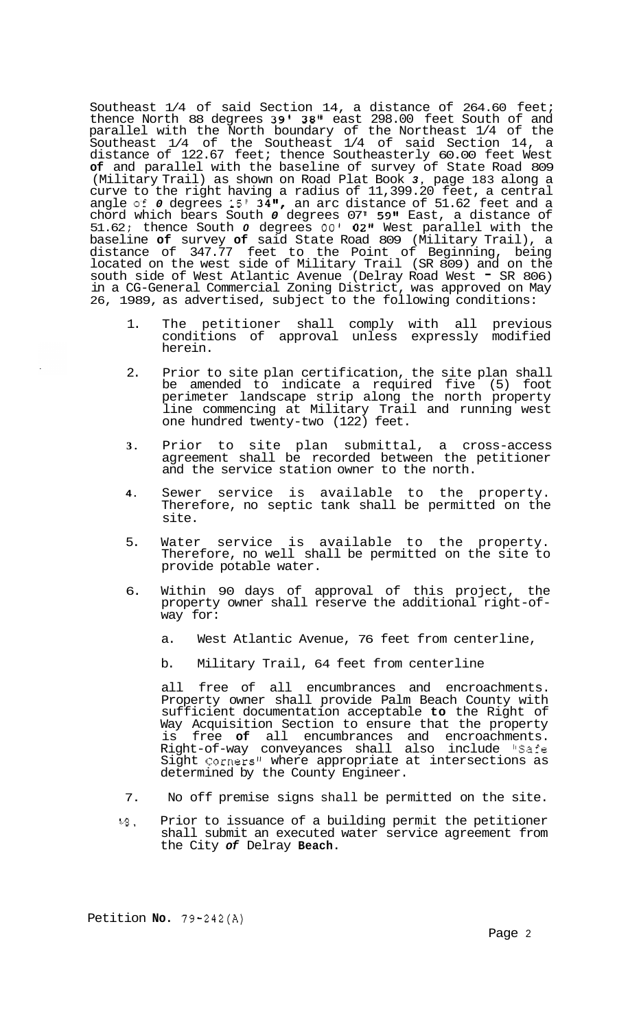Southeast 1/4 of said Section 14, a distance of 264.60 feet; thence North 88 degrees 39' 38" east 298.00 feet South of and parallel with the North boundary of the Northeast 1/4 of the Southeast 1/4 of the Southeast 1/4 of said Section 14, a distance of 122.67 feet; thence Southeasterly 60.00 feet West **of** and parallel with the baseline of survey of State Road 809 (Military Trail) as shown on Road Plat Book *3,* page 183 along a curve to the right having a radius of 11,399.20 feet, a central angle of 0 degrees 15' 34", an arc distance of 51.62 feet and a chord which bears South *0* degrees 07' 59" East, a distance of 51.62; thence South *0* degrees 00' 02" West parallel with the baseline **of** survey **of** said State Road 809 (Military Trail), a distance of 347.77 feet to the Point of Beginning, being located on the west side of Military Trail (SR 809) and on the south side of West Atlantic Avenue (Delray Road West - SR 806) in a CG-General Commercial Zoning District, was approved on May 26, 1989, as advertised, subject to the following conditions:

- 1. The petitioner shall comply with all previous conditions of approval unless expressly modified herein.
- 2. Prior to site plan certification, the site plan shall be amended to indicate a required five (5) foot perimeter landscape strip along the north property line commencing at Military Trail and running west one hundred twenty-two (122) feet.
- **3.** Prior to site plan submittal, a cross-access agreement shall be recorded between the petitioner and the service station owner to the north.
- **4.** Sewer service is available to the property. Therefore, no septic tank shall be permitted on the site.
- 5. Water service is available to the property. Therefore, no well shall be permitted on the site to provide potable water.
- 6. Within 90 days of approval of this project, the property owner shall reserve the additional right-of- way for:
	- a. West Atlantic Avenue, 76 feet from centerline,
	- b. Military Trail, 64 feet from centerline

all free of all encumbrances and encroachments. Property owner shall provide Palm Beach County with sufficient documentation acceptable **to** the Right of Way Acquisition Section to ensure that the property is free **of** all encumbrances and encroachments. Right-of-way conveyances shall also include "Safe Sight Corners" where appropriate at intersections as determined by the County Engineer.

- 7. No off premise signs shall be permitted on the site.
- $48.$  Prior to issuance of a building permit the petitioner shall submit an executed water service agreement from the City *of* Delray **Beach.**